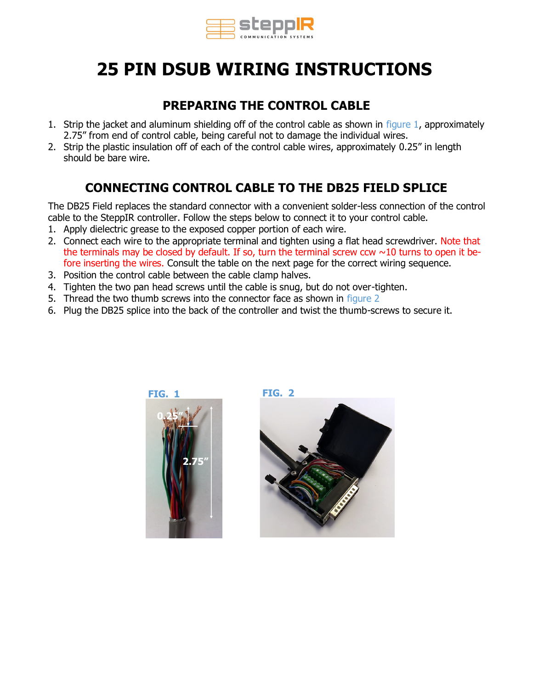

# **25 PIN DSUB WIRING INSTRUCTIONS**

### **PREPARING THE CONTROL CABLE**

- 1. Strip the jacket and aluminum shielding off of the control cable as shown in figure 1, approximately 2.75" from end of control cable, being careful not to damage the individual wires.
- 2. Strip the plastic insulation off of each of the control cable wires, approximately 0.25" in length should be bare wire.

### **CONNECTING CONTROL CABLE TO THE DB25 FIELD SPLICE**

The DB25 Field replaces the standard connector with a convenient solder-less connection of the control cable to the SteppIR controller. Follow the steps below to connect it to your control cable.

- 1. Apply dielectric grease to the exposed copper portion of each wire.
- 2. Connect each wire to the appropriate terminal and tighten using a flat head screwdriver. Note that the terminals may be closed by default. If so, turn the terminal screw ccw  $\sim$ 10 turns to open it before inserting the wires. Consult the table on the next page for the correct wiring sequence.
- 3. Position the control cable between the cable clamp halves.
- 4. Tighten the two pan head screws until the cable is snug, but do not over-tighten.
- 5. Thread the two thumb screws into the connector face as shown in figure 2
- 6. Plug the DB25 splice into the back of the controller and twist the thumb-screws to secure it.